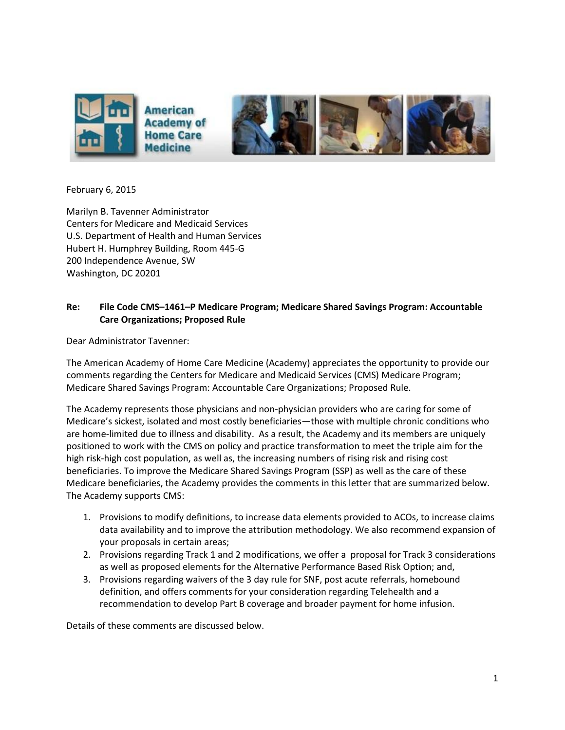

February 6, 2015

Marilyn B. Tavenner Administrator Centers for Medicare and Medicaid Services U.S. Department of Health and Human Services Hubert H. Humphrey Building, Room 445-G 200 Independence Avenue, SW Washington, DC 20201

## **Re: File Code CMS–1461–P Medicare Program; Medicare Shared Savings Program: Accountable Care Organizations; Proposed Rule**

Dear Administrator Tavenner:

The American Academy of Home Care Medicine (Academy) appreciates the opportunity to provide our comments regarding the Centers for Medicare and Medicaid Services (CMS) Medicare Program; Medicare Shared Savings Program: Accountable Care Organizations; Proposed Rule.

The Academy represents those physicians and non-physician providers who are caring for some of Medicare's sickest, isolated and most costly beneficiaries—those with multiple chronic conditions who are home-limited due to illness and disability. As a result, the Academy and its members are uniquely positioned to work with the CMS on policy and practice transformation to meet the triple aim for the high risk-high cost population, as well as, the increasing numbers of rising risk and rising cost beneficiaries. To improve the Medicare Shared Savings Program (SSP) as well as the care of these Medicare beneficiaries, the Academy provides the comments in this letter that are summarized below. The Academy supports CMS:

- 1. Provisions to modify definitions, to increase data elements provided to ACOs, to increase claims data availability and to improve the attribution methodology. We also recommend expansion of your proposals in certain areas;
- 2. Provisions regarding Track 1 and 2 modifications, we offer a proposal for Track 3 considerations as well as proposed elements for the Alternative Performance Based Risk Option; and,
- 3. Provisions regarding waivers of the 3 day rule for SNF, post acute referrals, homebound definition, and offers comments for your consideration regarding Telehealth and a recommendation to develop Part B coverage and broader payment for home infusion.

Details of these comments are discussed below.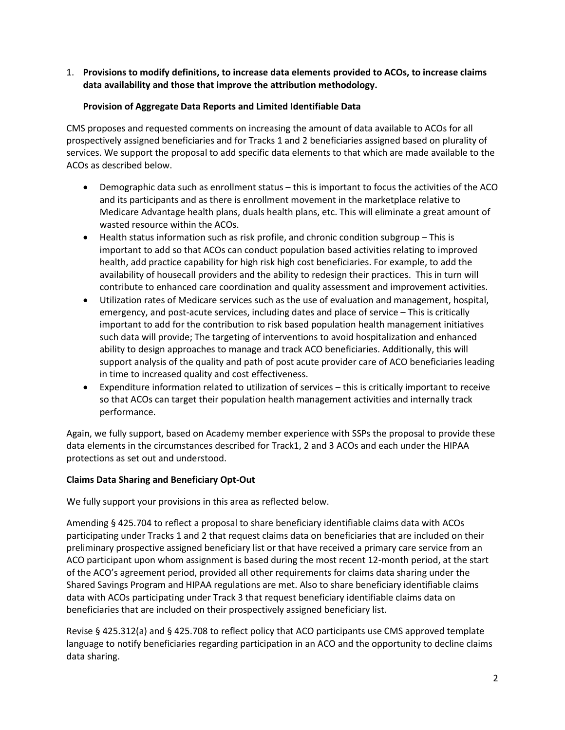1. **Provisions to modify definitions, to increase data elements provided to ACOs, to increase claims data availability and those that improve the attribution methodology.**

## **Provision of Aggregate Data Reports and Limited Identifiable Data**

CMS proposes and requested comments on increasing the amount of data available to ACOs for all prospectively assigned beneficiaries and for Tracks 1 and 2 beneficiaries assigned based on plurality of services. We support the proposal to add specific data elements to that which are made available to the ACOs as described below.

- Demographic data such as enrollment status this is important to focus the activities of the ACO and its participants and as there is enrollment movement in the marketplace relative to Medicare Advantage health plans, duals health plans, etc. This will eliminate a great amount of wasted resource within the ACOs.
- Health status information such as risk profile, and chronic condition subgroup This is important to add so that ACOs can conduct population based activities relating to improved health, add practice capability for high risk high cost beneficiaries. For example, to add the availability of housecall providers and the ability to redesign their practices. This in turn will contribute to enhanced care coordination and quality assessment and improvement activities.
- Utilization rates of Medicare services such as the use of evaluation and management, hospital, emergency, and post-acute services, including dates and place of service – This is critically important to add for the contribution to risk based population health management initiatives such data will provide; The targeting of interventions to avoid hospitalization and enhanced ability to design approaches to manage and track ACO beneficiaries. Additionally, this will support analysis of the quality and path of post acute provider care of ACO beneficiaries leading in time to increased quality and cost effectiveness.
- Expenditure information related to utilization of services this is critically important to receive so that ACOs can target their population health management activities and internally track performance.

Again, we fully support, based on Academy member experience with SSPs the proposal to provide these data elements in the circumstances described for Track1, 2 and 3 ACOs and each under the HIPAA protections as set out and understood.

# **Claims Data Sharing and Beneficiary Opt-Out**

We fully support your provisions in this area as reflected below.

Amending § 425.704 to reflect a proposal to share beneficiary identifiable claims data with ACOs participating under Tracks 1 and 2 that request claims data on beneficiaries that are included on their preliminary prospective assigned beneficiary list or that have received a primary care service from an ACO participant upon whom assignment is based during the most recent 12-month period, at the start of the ACO's agreement period, provided all other requirements for claims data sharing under the Shared Savings Program and HIPAA regulations are met. Also to share beneficiary identifiable claims data with ACOs participating under Track 3 that request beneficiary identifiable claims data on beneficiaries that are included on their prospectively assigned beneficiary list.

Revise § 425.312(a) and § 425.708 to reflect policy that ACO participants use CMS approved template language to notify beneficiaries regarding participation in an ACO and the opportunity to decline claims data sharing.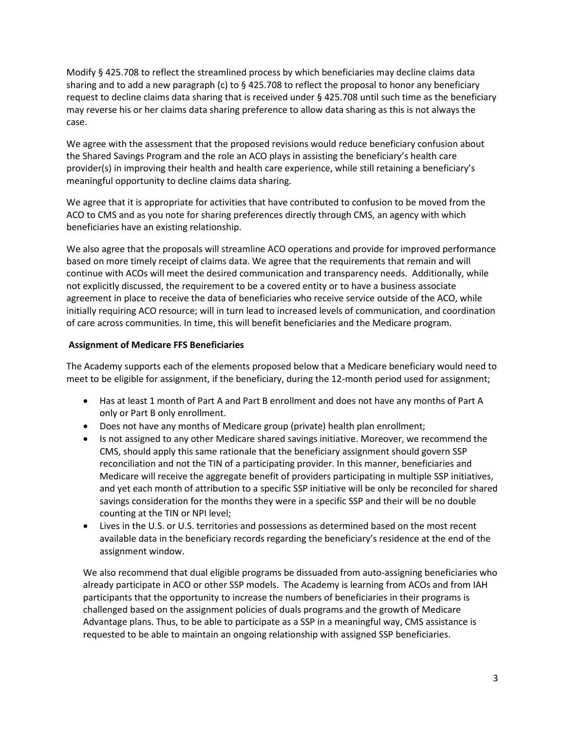Modify § 425.708 to reflect the streamlined process by which beneficiaries may decline claims data sharing and to add a new paragraph (c) to § 425.708 to reflect the proposal to honor any beneficiary request to decline claims data sharing that is received under § 425.708 until such time as the beneficiary may reverse his or her claims data sharing preference to allow data sharing as this is not always the case.

We agree with the assessment that the proposed revisions would reduce beneficiary confusion about the Shared Savings Program and the role an ACO plays in assisting the beneficiary's health care provider(s) in improving their health and health care experience, while still retaining a beneficiary's meaningful opportunity to decline claims data sharing.

We agree that it is appropriate for activities that have contributed to confusion to be moved from the ACO to CMS and as you note for sharing preferences directly through CMS, an agency with which beneficiaries have an existing relationship.

We also agree that the proposals will streamline ACO operations and provide for improved performance based on more timely receipt of claims data. We agree that the requirements that remain and will continue with ACOs will meet the desired communication and transparency needs. Additionally, while not explicitly discussed, the requirement to be a covered entity or to have a business associate agreement in place to receive the data of beneficiaries who receive service outside of the ACO, while initially requiring ACO resource; will in turn lead to increased levels of communication, and coordination of care across communities. In time, this will benefit beneficiaries and the Medicare program.

### **Assignment of Medicare FFS Beneficiaries**

The Academy supports each of the elements proposed below that a Medicare beneficiary would need to meet to be eligible for assignment, if the beneficiary, during the 12-month period used for assignment;

- Has at least 1 month of Part A and Part B enrollment and does not have any months of Part A only or Part B only enrollment.
- Does not have any months of Medicare group (private) health plan enrollment;
- Is not assigned to any other Medicare shared savings initiative. Moreover, we recommend the CMS, should apply this same rationale that the beneficiary assignment should govern SSP reconciliation and not the TIN of a participating provider. In this manner, beneficiaries and Medicare will receive the aggregate benefit of providers participating in multiple SSP initiatives, and yet each month of attribution to a specific SSP initiative will be only be reconciled for shared savings consideration for the months they were in a specific SSP and their will be no double counting at the TIN or NPI level;
- Lives in the U.S. or U.S. territories and possessions as determined based on the most recent available data in the beneficiary records regarding the beneficiary's residence at the end of the assignment window.

We also recommend that dual eligible programs be dissuaded from auto-assigning beneficiaries who already participate in ACO or other SSP models. The Academy is learning from ACOs and from IAH participants that the opportunity to increase the numbers of beneficiaries in their programs is challenged based on the assignment policies of duals programs and the growth of Medicare Advantage plans. Thus, to be able to participate as a SSP in a meaningful way, CMS assistance is requested to be able to maintain an ongoing relationship with assigned SSP beneficiaries.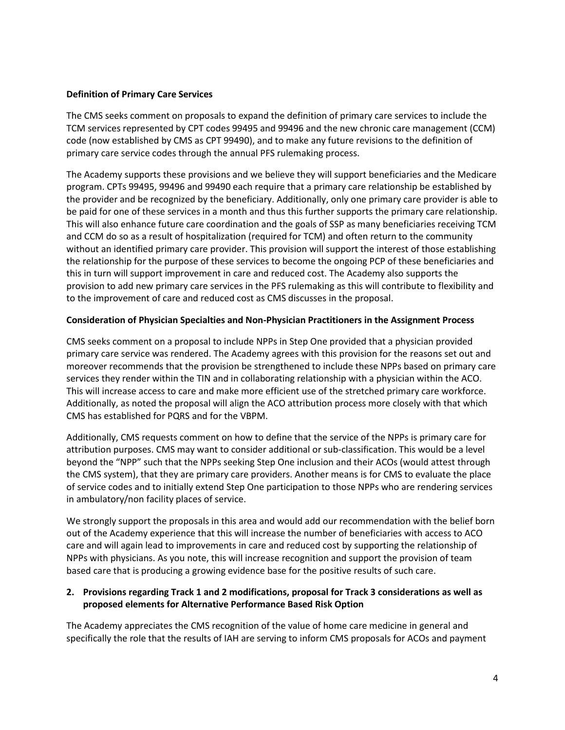### **Definition of Primary Care Services**

The CMS seeks comment on proposals to expand the definition of primary care services to include the TCM services represented by CPT codes 99495 and 99496 and the new chronic care management (CCM) code (now established by CMS as CPT 99490), and to make any future revisions to the definition of primary care service codes through the annual PFS rulemaking process.

The Academy supports these provisions and we believe they will support beneficiaries and the Medicare program. CPTs 99495, 99496 and 99490 each require that a primary care relationship be established by the provider and be recognized by the beneficiary. Additionally, only one primary care provider is able to be paid for one of these services in a month and thus this further supports the primary care relationship. This will also enhance future care coordination and the goals of SSP as many beneficiaries receiving TCM and CCM do so as a result of hospitalization (required for TCM) and often return to the community without an identified primary care provider. This provision will support the interest of those establishing the relationship for the purpose of these services to become the ongoing PCP of these beneficiaries and this in turn will support improvement in care and reduced cost. The Academy also supports the provision to add new primary care services in the PFS rulemaking as this will contribute to flexibility and to the improvement of care and reduced cost as CMS discusses in the proposal.

### **Consideration of Physician Specialties and Non-Physician Practitioners in the Assignment Process**

CMS seeks comment on a proposal to include NPPs in Step One provided that a physician provided primary care service was rendered. The Academy agrees with this provision for the reasons set out and moreover recommends that the provision be strengthened to include these NPPs based on primary care services they render within the TIN and in collaborating relationship with a physician within the ACO. This will increase access to care and make more efficient use of the stretched primary care workforce. Additionally, as noted the proposal will align the ACO attribution process more closely with that which CMS has established for PQRS and for the VBPM.

Additionally, CMS requests comment on how to define that the service of the NPPs is primary care for attribution purposes. CMS may want to consider additional or sub-classification. This would be a level beyond the "NPP" such that the NPPs seeking Step One inclusion and their ACOs (would attest through the CMS system), that they are primary care providers. Another means is for CMS to evaluate the place of service codes and to initially extend Step One participation to those NPPs who are rendering services in ambulatory/non facility places of service.

We strongly support the proposals in this area and would add our recommendation with the belief born out of the Academy experience that this will increase the number of beneficiaries with access to ACO care and will again lead to improvements in care and reduced cost by supporting the relationship of NPPs with physicians. As you note, this will increase recognition and support the provision of team based care that is producing a growing evidence base for the positive results of such care.

### **2. Provisions regarding Track 1 and 2 modifications, proposal for Track 3 considerations as well as proposed elements for Alternative Performance Based Risk Option**

The Academy appreciates the CMS recognition of the value of home care medicine in general and specifically the role that the results of IAH are serving to inform CMS proposals for ACOs and payment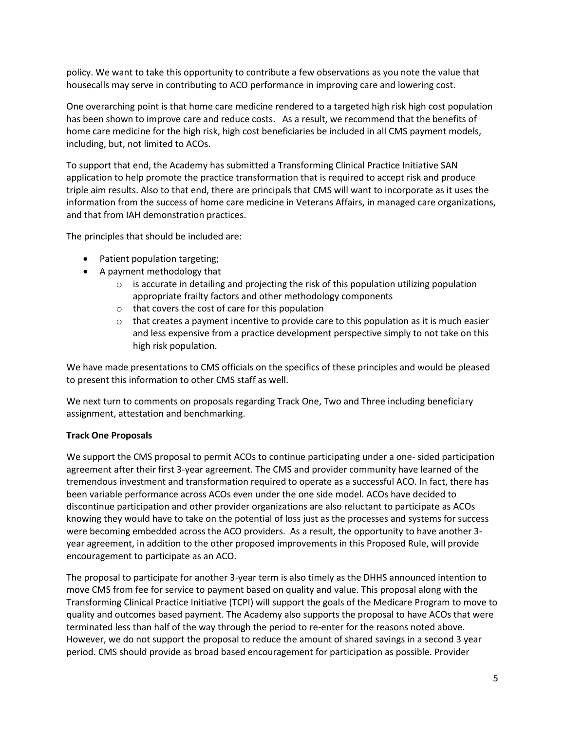policy. We want to take this opportunity to contribute a few observations as you note the value that housecalls may serve in contributing to ACO performance in improving care and lowering cost.

One overarching point is that home care medicine rendered to a targeted high risk high cost population has been shown to improve care and reduce costs. As a result, we recommend that the benefits of home care medicine for the high risk, high cost beneficiaries be included in all CMS payment models, including, but, not limited to ACOs.

To support that end, the Academy has submitted a Transforming Clinical Practice Initiative SAN application to help promote the practice transformation that is required to accept risk and produce triple aim results. Also to that end, there are principals that CMS will want to incorporate as it uses the information from the success of home care medicine in Veterans Affairs, in managed care organizations, and that from IAH demonstration practices.

The principles that should be included are:

- Patient population targeting;
- A payment methodology that
	- $\circ$  is accurate in detailing and projecting the risk of this population utilizing population appropriate frailty factors and other methodology components
	- o that covers the cost of care for this population
	- $\circ$  that creates a payment incentive to provide care to this population as it is much easier and less expensive from a practice development perspective simply to not take on this high risk population.

We have made presentations to CMS officials on the specifics of these principles and would be pleased to present this information to other CMS staff as well.

We next turn to comments on proposals regarding Track One, Two and Three including beneficiary assignment, attestation and benchmarking.

# **Track One Proposals**

We support the CMS proposal to permit ACOs to continue participating under a one- sided participation agreement after their first 3-year agreement. The CMS and provider community have learned of the tremendous investment and transformation required to operate as a successful ACO. In fact, there has been variable performance across ACOs even under the one side model. ACOs have decided to discontinue participation and other provider organizations are also reluctant to participate as ACOs knowing they would have to take on the potential of loss just as the processes and systems for success were becoming embedded across the ACO providers. As a result, the opportunity to have another 3 year agreement, in addition to the other proposed improvements in this Proposed Rule, will provide encouragement to participate as an ACO.

The proposal to participate for another 3-year term is also timely as the DHHS announced intention to move CMS from fee for service to payment based on quality and value. This proposal along with the Transforming Clinical Practice Initiative (TCPI) will support the goals of the Medicare Program to move to quality and outcomes based payment. The Academy also supports the proposal to have ACOs that were terminated less than half of the way through the period to re-enter for the reasons noted above. However, we do not support the proposal to reduce the amount of shared savings in a second 3 year period. CMS should provide as broad based encouragement for participation as possible. Provider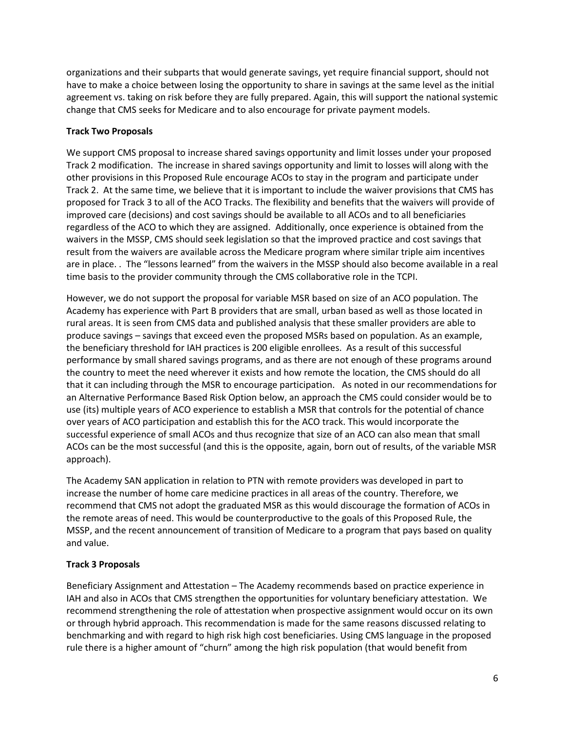organizations and their subparts that would generate savings, yet require financial support, should not have to make a choice between losing the opportunity to share in savings at the same level as the initial agreement vs. taking on risk before they are fully prepared. Again, this will support the national systemic change that CMS seeks for Medicare and to also encourage for private payment models.

# **Track Two Proposals**

We support CMS proposal to increase shared savings opportunity and limit losses under your proposed Track 2 modification. The increase in shared savings opportunity and limit to losses will along with the other provisions in this Proposed Rule encourage ACOs to stay in the program and participate under Track 2. At the same time, we believe that it is important to include the waiver provisions that CMS has proposed for Track 3 to all of the ACO Tracks. The flexibility and benefits that the waivers will provide of improved care (decisions) and cost savings should be available to all ACOs and to all beneficiaries regardless of the ACO to which they are assigned. Additionally, once experience is obtained from the waivers in the MSSP, CMS should seek legislation so that the improved practice and cost savings that result from the waivers are available across the Medicare program where similar triple aim incentives are in place. . The "lessons learned" from the waivers in the MSSP should also become available in a real time basis to the provider community through the CMS collaborative role in the TCPI.

However, we do not support the proposal for variable MSR based on size of an ACO population. The Academy has experience with Part B providers that are small, urban based as well as those located in rural areas. It is seen from CMS data and published analysis that these smaller providers are able to produce savings – savings that exceed even the proposed MSRs based on population. As an example, the beneficiary threshold for IAH practices is 200 eligible enrollees. As a result of this successful performance by small shared savings programs, and as there are not enough of these programs around the country to meet the need wherever it exists and how remote the location, the CMS should do all that it can including through the MSR to encourage participation. As noted in our recommendations for an Alternative Performance Based Risk Option below, an approach the CMS could consider would be to use (its) multiple years of ACO experience to establish a MSR that controls for the potential of chance over years of ACO participation and establish this for the ACO track. This would incorporate the successful experience of small ACOs and thus recognize that size of an ACO can also mean that small ACOs can be the most successful (and this is the opposite, again, born out of results, of the variable MSR approach).

The Academy SAN application in relation to PTN with remote providers was developed in part to increase the number of home care medicine practices in all areas of the country. Therefore, we recommend that CMS not adopt the graduated MSR as this would discourage the formation of ACOs in the remote areas of need. This would be counterproductive to the goals of this Proposed Rule, the MSSP, and the recent announcement of transition of Medicare to a program that pays based on quality and value.

# **Track 3 Proposals**

Beneficiary Assignment and Attestation – The Academy recommends based on practice experience in IAH and also in ACOs that CMS strengthen the opportunities for voluntary beneficiary attestation. We recommend strengthening the role of attestation when prospective assignment would occur on its own or through hybrid approach. This recommendation is made for the same reasons discussed relating to benchmarking and with regard to high risk high cost beneficiaries. Using CMS language in the proposed rule there is a higher amount of "churn" among the high risk population (that would benefit from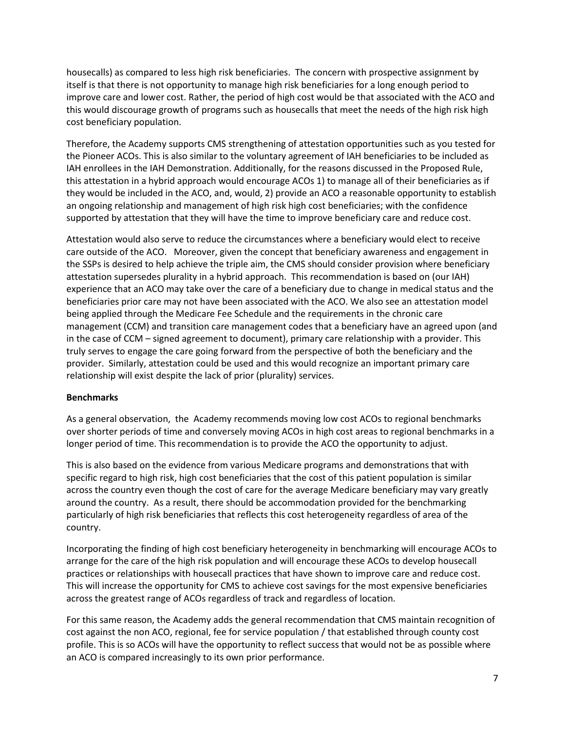housecalls) as compared to less high risk beneficiaries. The concern with prospective assignment by itself is that there is not opportunity to manage high risk beneficiaries for a long enough period to improve care and lower cost. Rather, the period of high cost would be that associated with the ACO and this would discourage growth of programs such as housecalls that meet the needs of the high risk high cost beneficiary population.

Therefore, the Academy supports CMS strengthening of attestation opportunities such as you tested for the Pioneer ACOs. This is also similar to the voluntary agreement of IAH beneficiaries to be included as IAH enrollees in the IAH Demonstration. Additionally, for the reasons discussed in the Proposed Rule, this attestation in a hybrid approach would encourage ACOs 1) to manage all of their beneficiaries as if they would be included in the ACO, and, would, 2) provide an ACO a reasonable opportunity to establish an ongoing relationship and management of high risk high cost beneficiaries; with the confidence supported by attestation that they will have the time to improve beneficiary care and reduce cost.

Attestation would also serve to reduce the circumstances where a beneficiary would elect to receive care outside of the ACO. Moreover, given the concept that beneficiary awareness and engagement in the SSPs is desired to help achieve the triple aim, the CMS should consider provision where beneficiary attestation supersedes plurality in a hybrid approach. This recommendation is based on (our IAH) experience that an ACO may take over the care of a beneficiary due to change in medical status and the beneficiaries prior care may not have been associated with the ACO. We also see an attestation model being applied through the Medicare Fee Schedule and the requirements in the chronic care management (CCM) and transition care management codes that a beneficiary have an agreed upon (and in the case of CCM – signed agreement to document), primary care relationship with a provider. This truly serves to engage the care going forward from the perspective of both the beneficiary and the provider. Similarly, attestation could be used and this would recognize an important primary care relationship will exist despite the lack of prior (plurality) services.

### **Benchmarks**

As a general observation, the Academy recommends moving low cost ACOs to regional benchmarks over shorter periods of time and conversely moving ACOs in high cost areas to regional benchmarks in a longer period of time. This recommendation is to provide the ACO the opportunity to adjust.

This is also based on the evidence from various Medicare programs and demonstrations that with specific regard to high risk, high cost beneficiaries that the cost of this patient population is similar across the country even though the cost of care for the average Medicare beneficiary may vary greatly around the country. As a result, there should be accommodation provided for the benchmarking particularly of high risk beneficiaries that reflects this cost heterogeneity regardless of area of the country.

Incorporating the finding of high cost beneficiary heterogeneity in benchmarking will encourage ACOs to arrange for the care of the high risk population and will encourage these ACOs to develop housecall practices or relationships with housecall practices that have shown to improve care and reduce cost. This will increase the opportunity for CMS to achieve cost savings for the most expensive beneficiaries across the greatest range of ACOs regardless of track and regardless of location.

For this same reason, the Academy adds the general recommendation that CMS maintain recognition of cost against the non ACO, regional, fee for service population / that established through county cost profile. This is so ACOs will have the opportunity to reflect success that would not be as possible where an ACO is compared increasingly to its own prior performance.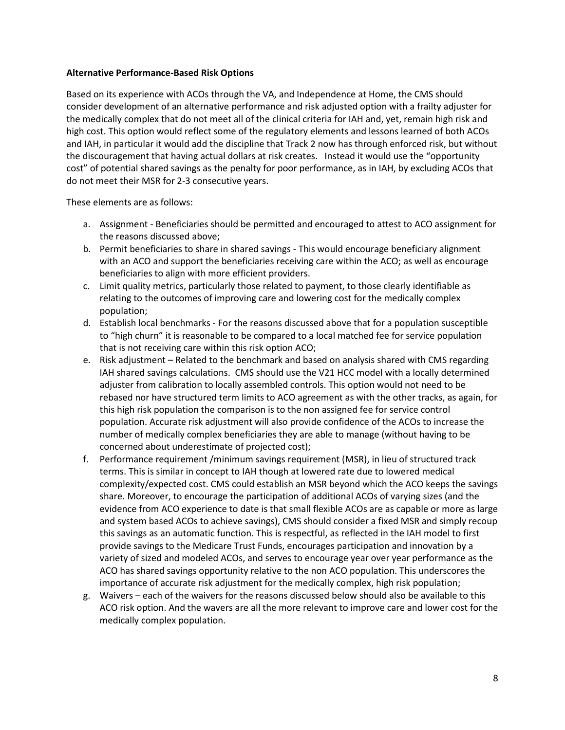#### **Alternative Performance-Based Risk Options**

Based on its experience with ACOs through the VA, and Independence at Home, the CMS should consider development of an alternative performance and risk adjusted option with a frailty adjuster for the medically complex that do not meet all of the clinical criteria for IAH and, yet, remain high risk and high cost. This option would reflect some of the regulatory elements and lessons learned of both ACOs and IAH, in particular it would add the discipline that Track 2 now has through enforced risk, but without the discouragement that having actual dollars at risk creates. Instead it would use the "opportunity cost" of potential shared savings as the penalty for poor performance, as in IAH, by excluding ACOs that do not meet their MSR for 2-3 consecutive years.

These elements are as follows:

- a. Assignment Beneficiaries should be permitted and encouraged to attest to ACO assignment for the reasons discussed above;
- b. Permit beneficiaries to share in shared savings This would encourage beneficiary alignment with an ACO and support the beneficiaries receiving care within the ACO; as well as encourage beneficiaries to align with more efficient providers.
- c. Limit quality metrics, particularly those related to payment, to those clearly identifiable as relating to the outcomes of improving care and lowering cost for the medically complex population;
- d. Establish local benchmarks For the reasons discussed above that for a population susceptible to "high churn" it is reasonable to be compared to a local matched fee for service population that is not receiving care within this risk option ACO;
- e. Risk adjustment Related to the benchmark and based on analysis shared with CMS regarding IAH shared savings calculations. CMS should use the V21 HCC model with a locally determined adjuster from calibration to locally assembled controls. This option would not need to be rebased nor have structured term limits to ACO agreement as with the other tracks, as again, for this high risk population the comparison is to the non assigned fee for service control population. Accurate risk adjustment will also provide confidence of the ACOs to increase the number of medically complex beneficiaries they are able to manage (without having to be concerned about underestimate of projected cost);
- f. Performance requirement /minimum savings requirement (MSR), in lieu of structured track terms. This is similar in concept to IAH though at lowered rate due to lowered medical complexity/expected cost. CMS could establish an MSR beyond which the ACO keeps the savings share. Moreover, to encourage the participation of additional ACOs of varying sizes (and the evidence from ACO experience to date is that small flexible ACOs are as capable or more as large and system based ACOs to achieve savings), CMS should consider a fixed MSR and simply recoup this savings as an automatic function. This is respectful, as reflected in the IAH model to first provide savings to the Medicare Trust Funds, encourages participation and innovation by a variety of sized and modeled ACOs, and serves to encourage year over year performance as the ACO has shared savings opportunity relative to the non ACO population. This underscores the importance of accurate risk adjustment for the medically complex, high risk population;
- g. Waivers each of the waivers for the reasons discussed below should also be available to this ACO risk option. And the wavers are all the more relevant to improve care and lower cost for the medically complex population.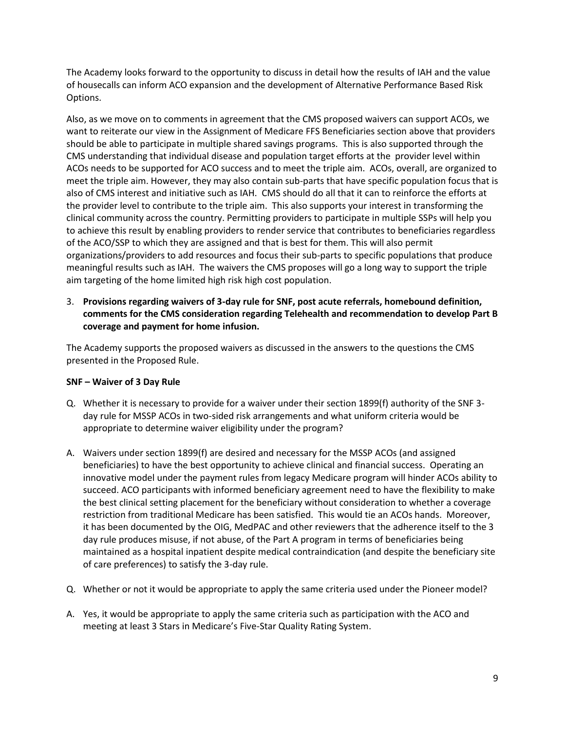The Academy looks forward to the opportunity to discuss in detail how the results of IAH and the value of housecalls can inform ACO expansion and the development of Alternative Performance Based Risk Options.

Also, as we move on to comments in agreement that the CMS proposed waivers can support ACOs, we want to reiterate our view in the Assignment of Medicare FFS Beneficiaries section above that providers should be able to participate in multiple shared savings programs. This is also supported through the CMS understanding that individual disease and population target efforts at the provider level within ACOs needs to be supported for ACO success and to meet the triple aim. ACOs, overall, are organized to meet the triple aim. However, they may also contain sub-parts that have specific population focus that is also of CMS interest and initiative such as IAH. CMS should do all that it can to reinforce the efforts at the provider level to contribute to the triple aim. This also supports your interest in transforming the clinical community across the country. Permitting providers to participate in multiple SSPs will help you to achieve this result by enabling providers to render service that contributes to beneficiaries regardless of the ACO/SSP to which they are assigned and that is best for them. This will also permit organizations/providers to add resources and focus their sub-parts to specific populations that produce meaningful results such as IAH. The waivers the CMS proposes will go a long way to support the triple aim targeting of the home limited high risk high cost population.

3. **Provisions regarding waivers of 3-day rule for SNF, post acute referrals, homebound definition, comments for the CMS consideration regarding Telehealth and recommendation to develop Part B coverage and payment for home infusion.**

The Academy supports the proposed waivers as discussed in the answers to the questions the CMS presented in the Proposed Rule.

### **SNF – Waiver of 3 Day Rule**

- Q. Whether it is necessary to provide for a waiver under their section 1899(f) authority of the SNF 3 day rule for MSSP ACOs in two-sided risk arrangements and what uniform criteria would be appropriate to determine waiver eligibility under the program?
- A. Waivers under section 1899(f) are desired and necessary for the MSSP ACOs (and assigned beneficiaries) to have the best opportunity to achieve clinical and financial success. Operating an innovative model under the payment rules from legacy Medicare program will hinder ACOs ability to succeed. ACO participants with informed beneficiary agreement need to have the flexibility to make the best clinical setting placement for the beneficiary without consideration to whether a coverage restriction from traditional Medicare has been satisfied. This would tie an ACOs hands. Moreover, it has been documented by the OIG, MedPAC and other reviewers that the adherence itself to the 3 day rule produces misuse, if not abuse, of the Part A program in terms of beneficiaries being maintained as a hospital inpatient despite medical contraindication (and despite the beneficiary site of care preferences) to satisfy the 3-day rule.
- Q. Whether or not it would be appropriate to apply the same criteria used under the Pioneer model?
- A. Yes, it would be appropriate to apply the same criteria such as participation with the ACO and meeting at least 3 Stars in Medicare's Five-Star Quality Rating System.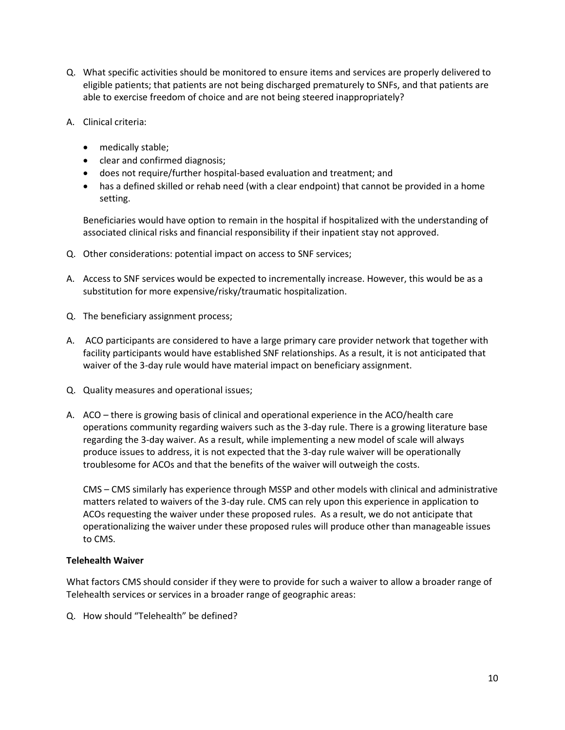- Q. What specific activities should be monitored to ensure items and services are properly delivered to eligible patients; that patients are not being discharged prematurely to SNFs, and that patients are able to exercise freedom of choice and are not being steered inappropriately?
- A. Clinical criteria:
	- medically stable;
	- clear and confirmed diagnosis;
	- does not require/further hospital-based evaluation and treatment; and
	- has a defined skilled or rehab need (with a clear endpoint) that cannot be provided in a home setting.

Beneficiaries would have option to remain in the hospital if hospitalized with the understanding of associated clinical risks and financial responsibility if their inpatient stay not approved.

- Q. Other considerations: potential impact on access to SNF services;
- A. Access to SNF services would be expected to incrementally increase. However, this would be as a substitution for more expensive/risky/traumatic hospitalization.
- Q. The beneficiary assignment process;
- A. ACO participants are considered to have a large primary care provider network that together with facility participants would have established SNF relationships. As a result, it is not anticipated that waiver of the 3-day rule would have material impact on beneficiary assignment.
- Q. Quality measures and operational issues;
- A. ACO there is growing basis of clinical and operational experience in the ACO/health care operations community regarding waivers such as the 3-day rule. There is a growing literature base regarding the 3-day waiver. As a result, while implementing a new model of scale will always produce issues to address, it is not expected that the 3-day rule waiver will be operationally troublesome for ACOs and that the benefits of the waiver will outweigh the costs.

CMS – CMS similarly has experience through MSSP and other models with clinical and administrative matters related to waivers of the 3-day rule. CMS can rely upon this experience in application to ACOs requesting the waiver under these proposed rules. As a result, we do not anticipate that operationalizing the waiver under these proposed rules will produce other than manageable issues to CMS.

### **Telehealth Waiver**

What factors CMS should consider if they were to provide for such a waiver to allow a broader range of Telehealth services or services in a broader range of geographic areas:

Q. How should "Telehealth" be defined?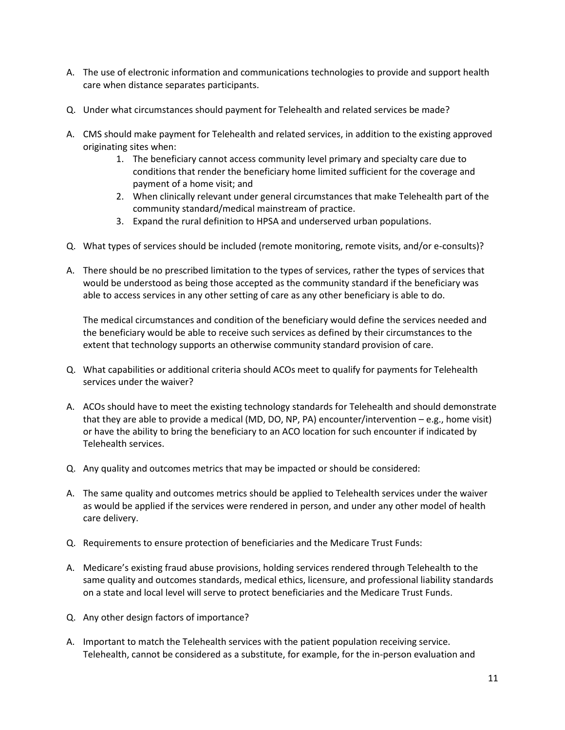- A. The use of electronic information and communications technologies to provide and support health care when distance separates participants.
- Q. Under what circumstances should payment for Telehealth and related services be made?
- A. CMS should make payment for Telehealth and related services, in addition to the existing approved originating sites when:
	- 1. The beneficiary cannot access community level primary and specialty care due to conditions that render the beneficiary home limited sufficient for the coverage and payment of a home visit; and
	- 2. When clinically relevant under general circumstances that make Telehealth part of the community standard/medical mainstream of practice.
	- 3. Expand the rural definition to HPSA and underserved urban populations.
- Q. What types of services should be included (remote monitoring, remote visits, and/or e-consults)?
- A. There should be no prescribed limitation to the types of services, rather the types of services that would be understood as being those accepted as the community standard if the beneficiary was able to access services in any other setting of care as any other beneficiary is able to do.

The medical circumstances and condition of the beneficiary would define the services needed and the beneficiary would be able to receive such services as defined by their circumstances to the extent that technology supports an otherwise community standard provision of care.

- Q. What capabilities or additional criteria should ACOs meet to qualify for payments for Telehealth services under the waiver?
- A. ACOs should have to meet the existing technology standards for Telehealth and should demonstrate that they are able to provide a medical (MD, DO, NP, PA) encounter/intervention – e.g., home visit) or have the ability to bring the beneficiary to an ACO location for such encounter if indicated by Telehealth services.
- Q. Any quality and outcomes metrics that may be impacted or should be considered:
- A. The same quality and outcomes metrics should be applied to Telehealth services under the waiver as would be applied if the services were rendered in person, and under any other model of health care delivery.
- Q. Requirements to ensure protection of beneficiaries and the Medicare Trust Funds:
- A. Medicare's existing fraud abuse provisions, holding services rendered through Telehealth to the same quality and outcomes standards, medical ethics, licensure, and professional liability standards on a state and local level will serve to protect beneficiaries and the Medicare Trust Funds.
- Q. Any other design factors of importance?
- A. Important to match the Telehealth services with the patient population receiving service. Telehealth, cannot be considered as a substitute, for example, for the in-person evaluation and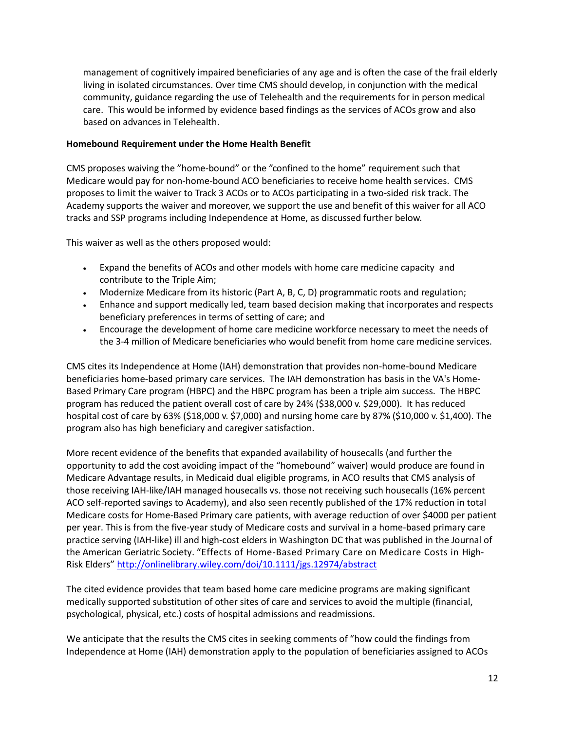management of cognitively impaired beneficiaries of any age and is often the case of the frail elderly living in isolated circumstances. Over time CMS should develop, in conjunction with the medical community, guidance regarding the use of Telehealth and the requirements for in person medical care. This would be informed by evidence based findings as the services of ACOs grow and also based on advances in Telehealth.

### **Homebound Requirement under the Home Health Benefit**

CMS proposes waiving the "home-bound" or the "confined to the home" requirement such that Medicare would pay for non-home-bound ACO beneficiaries to receive home health services. CMS proposes to limit the waiver to Track 3 ACOs or to ACOs participating in a two-sided risk track. The Academy supports the waiver and moreover, we support the use and benefit of this waiver for all ACO tracks and SSP programs including Independence at Home, as discussed further below.

This waiver as well as the others proposed would:

- Expand the benefits of ACOs and other models with home care medicine capacity and contribute to the Triple Aim;
- Modernize Medicare from its historic (Part A, B, C, D) programmatic roots and regulation;
- Enhance and support medically led, team based decision making that incorporates and respects beneficiary preferences in terms of setting of care; and
- Encourage the development of home care medicine workforce necessary to meet the needs of the 3-4 million of Medicare beneficiaries who would benefit from home care medicine services.

CMS cites its Independence at Home (IAH) demonstration that provides non-home-bound Medicare beneficiaries home-based primary care services. The IAH demonstration has basis in the VA's Home-Based Primary Care program (HBPC) and the HBPC program has been a triple aim success. The HBPC program has reduced the patient overall cost of care by 24% (\$38,000 v. \$29,000). It has reduced hospital cost of care by 63% (\$18,000 v. \$7,000) and nursing home care by 87% (\$10,000 v. \$1,400). The program also has high beneficiary and caregiver satisfaction.

More recent evidence of the benefits that expanded availability of housecalls (and further the opportunity to add the cost avoiding impact of the "homebound" waiver) would produce are found in Medicare Advantage results, in Medicaid dual eligible programs, in ACO results that CMS analysis of those receiving IAH-like/IAH managed housecalls vs. those not receiving such housecalls (16% percent ACO self-reported savings to Academy), and also seen recently published of the 17% reduction in total Medicare costs for Home-Based Primary care patients, with average reduction of over \$4000 per patient per year. This is from the five-year study of Medicare costs and survival in a home-based primary care practice serving (IAH-like) ill and high-cost elders in Washington DC that was published in the Journal of the American Geriatric Society. "Effects of Home-Based Primary Care on Medicare Costs in High-Risk Elders" <http://onlinelibrary.wiley.com/doi/10.1111/jgs.12974/abstract>

The cited evidence provides that team based home care medicine programs are making significant medically supported substitution of other sites of care and services to avoid the multiple (financial, psychological, physical, etc.) costs of hospital admissions and readmissions.

We anticipate that the results the CMS cites in seeking comments of "how could the findings from Independence at Home (IAH) demonstration apply to the population of beneficiaries assigned to ACOs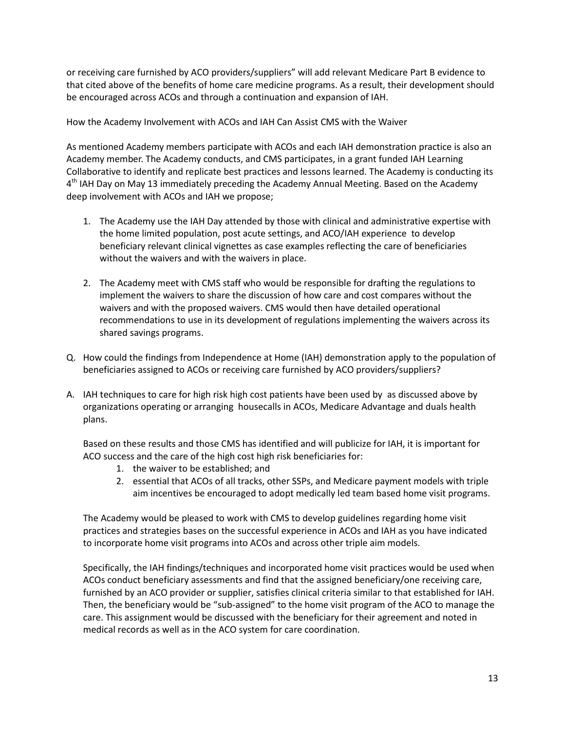or receiving care furnished by ACO providers/suppliers" will add relevant Medicare Part B evidence to that cited above of the benefits of home care medicine programs. As a result, their development should be encouraged across ACOs and through a continuation and expansion of IAH.

How the Academy Involvement with ACOs and IAH Can Assist CMS with the Waiver

As mentioned Academy members participate with ACOs and each IAH demonstration practice is also an Academy member. The Academy conducts, and CMS participates, in a grant funded IAH Learning Collaborative to identify and replicate best practices and lessons learned. The Academy is conducting its 4<sup>th</sup> IAH Day on May 13 immediately preceding the Academy Annual Meeting. Based on the Academy deep involvement with ACOs and IAH we propose;

- 1. The Academy use the IAH Day attended by those with clinical and administrative expertise with the home limited population, post acute settings, and ACO/IAH experience to develop beneficiary relevant clinical vignettes as case examples reflecting the care of beneficiaries without the waivers and with the waivers in place.
- 2. The Academy meet with CMS staff who would be responsible for drafting the regulations to implement the waivers to share the discussion of how care and cost compares without the waivers and with the proposed waivers. CMS would then have detailed operational recommendations to use in its development of regulations implementing the waivers across its shared savings programs.
- Q. How could the findings from Independence at Home (IAH) demonstration apply to the population of beneficiaries assigned to ACOs or receiving care furnished by ACO providers/suppliers?
- A. IAH techniques to care for high risk high cost patients have been used by as discussed above by organizations operating or arranging housecalls in ACOs, Medicare Advantage and duals health plans.

Based on these results and those CMS has identified and will publicize for IAH, it is important for ACO success and the care of the high cost high risk beneficiaries for:

- 1. the waiver to be established; and
- 2. essential that ACOs of all tracks, other SSPs, and Medicare payment models with triple aim incentives be encouraged to adopt medically led team based home visit programs.

The Academy would be pleased to work with CMS to develop guidelines regarding home visit practices and strategies bases on the successful experience in ACOs and IAH as you have indicated to incorporate home visit programs into ACOs and across other triple aim models.

Specifically, the IAH findings/techniques and incorporated home visit practices would be used when ACOs conduct beneficiary assessments and find that the assigned beneficiary/one receiving care, furnished by an ACO provider or supplier, satisfies clinical criteria similar to that established for IAH. Then, the beneficiary would be "sub-assigned" to the home visit program of the ACO to manage the care. This assignment would be discussed with the beneficiary for their agreement and noted in medical records as well as in the ACO system for care coordination.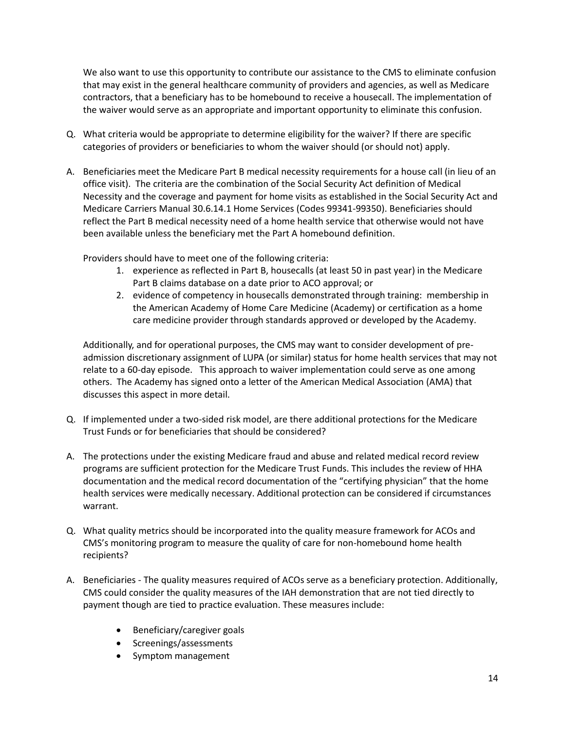We also want to use this opportunity to contribute our assistance to the CMS to eliminate confusion that may exist in the general healthcare community of providers and agencies, as well as Medicare contractors, that a beneficiary has to be homebound to receive a housecall. The implementation of the waiver would serve as an appropriate and important opportunity to eliminate this confusion.

- Q. What criteria would be appropriate to determine eligibility for the waiver? If there are specific categories of providers or beneficiaries to whom the waiver should (or should not) apply.
- A. Beneficiaries meet the Medicare Part B medical necessity requirements for a house call (in lieu of an office visit). The criteria are the combination of the Social Security Act definition of Medical Necessity and the coverage and payment for home visits as established in the Social Security Act and Medicare Carriers Manual 30.6.14.1 Home Services (Codes 99341-99350). Beneficiaries should reflect the Part B medical necessity need of a home health service that otherwise would not have been available unless the beneficiary met the Part A homebound definition.

Providers should have to meet one of the following criteria:

- 1. experience as reflected in Part B, housecalls (at least 50 in past year) in the Medicare Part B claims database on a date prior to ACO approval; or
- 2. evidence of competency in housecalls demonstrated through training: membership in the American Academy of Home Care Medicine (Academy) or certification as a home care medicine provider through standards approved or developed by the Academy.

Additionally, and for operational purposes, the CMS may want to consider development of preadmission discretionary assignment of LUPA (or similar) status for home health services that may not relate to a 60-day episode. This approach to waiver implementation could serve as one among others. The Academy has signed onto a letter of the American Medical Association (AMA) that discusses this aspect in more detail.

- Q. If implemented under a two-sided risk model, are there additional protections for the Medicare Trust Funds or for beneficiaries that should be considered?
- A. The protections under the existing Medicare fraud and abuse and related medical record review programs are sufficient protection for the Medicare Trust Funds. This includes the review of HHA documentation and the medical record documentation of the "certifying physician" that the home health services were medically necessary. Additional protection can be considered if circumstances warrant.
- Q. What quality metrics should be incorporated into the quality measure framework for ACOs and CMS's monitoring program to measure the quality of care for non-homebound home health recipients?
- A. Beneficiaries The quality measures required of ACOs serve as a beneficiary protection. Additionally, CMS could consider the quality measures of the IAH demonstration that are not tied directly to payment though are tied to practice evaluation. These measures include:
	- Beneficiary/caregiver goals
	- Screenings/assessments
	- Symptom management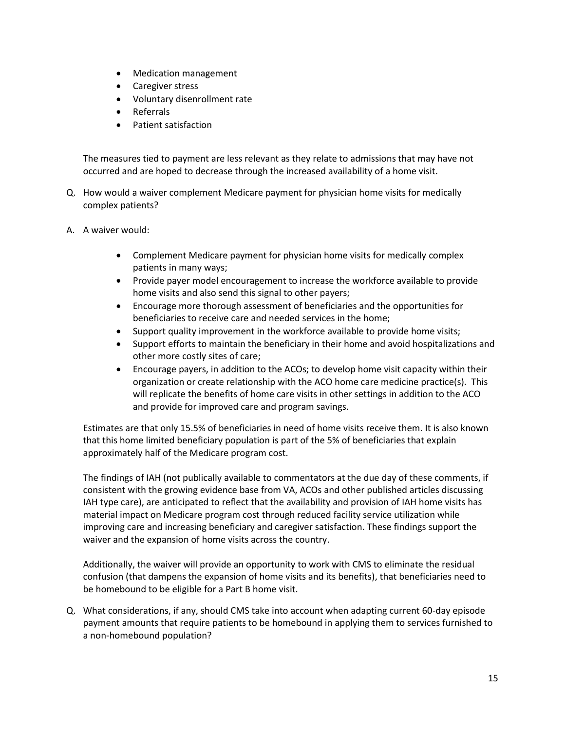- Medication management
- Caregiver stress
- Voluntary disenrollment rate
- Referrals
- Patient satisfaction

The measures tied to payment are less relevant as they relate to admissions that may have not occurred and are hoped to decrease through the increased availability of a home visit.

- Q. How would a waiver complement Medicare payment for physician home visits for medically complex patients?
- A. A waiver would:
	- Complement Medicare payment for physician home visits for medically complex patients in many ways;
	- Provide payer model encouragement to increase the workforce available to provide home visits and also send this signal to other payers;
	- Encourage more thorough assessment of beneficiaries and the opportunities for beneficiaries to receive care and needed services in the home;
	- Support quality improvement in the workforce available to provide home visits;
	- Support efforts to maintain the beneficiary in their home and avoid hospitalizations and other more costly sites of care;
	- Encourage payers, in addition to the ACOs; to develop home visit capacity within their organization or create relationship with the ACO home care medicine practice(s). This will replicate the benefits of home care visits in other settings in addition to the ACO and provide for improved care and program savings.

Estimates are that only 15.5% of beneficiaries in need of home visits receive them. It is also known that this home limited beneficiary population is part of the 5% of beneficiaries that explain approximately half of the Medicare program cost.

The findings of IAH (not publically available to commentators at the due day of these comments, if consistent with the growing evidence base from VA, ACOs and other published articles discussing IAH type care), are anticipated to reflect that the availability and provision of IAH home visits has material impact on Medicare program cost through reduced facility service utilization while improving care and increasing beneficiary and caregiver satisfaction. These findings support the waiver and the expansion of home visits across the country.

Additionally, the waiver will provide an opportunity to work with CMS to eliminate the residual confusion (that dampens the expansion of home visits and its benefits), that beneficiaries need to be homebound to be eligible for a Part B home visit.

Q. What considerations, if any, should CMS take into account when adapting current 60-day episode payment amounts that require patients to be homebound in applying them to services furnished to a non-homebound population?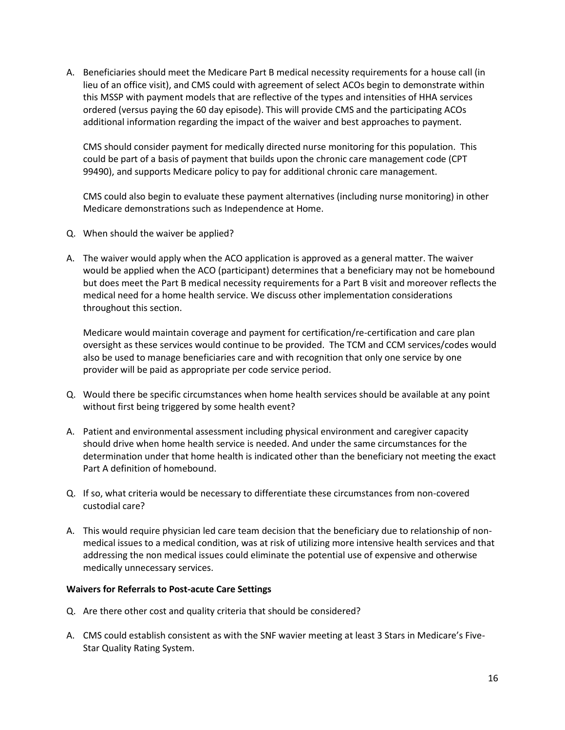A. Beneficiaries should meet the Medicare Part B medical necessity requirements for a house call (in lieu of an office visit), and CMS could with agreement of select ACOs begin to demonstrate within this MSSP with payment models that are reflective of the types and intensities of HHA services ordered (versus paying the 60 day episode). This will provide CMS and the participating ACOs additional information regarding the impact of the waiver and best approaches to payment.

CMS should consider payment for medically directed nurse monitoring for this population. This could be part of a basis of payment that builds upon the chronic care management code (CPT 99490), and supports Medicare policy to pay for additional chronic care management.

CMS could also begin to evaluate these payment alternatives (including nurse monitoring) in other Medicare demonstrations such as Independence at Home.

- Q. When should the waiver be applied?
- A. The waiver would apply when the ACO application is approved as a general matter. The waiver would be applied when the ACO (participant) determines that a beneficiary may not be homebound but does meet the Part B medical necessity requirements for a Part B visit and moreover reflects the medical need for a home health service. We discuss other implementation considerations throughout this section.

Medicare would maintain coverage and payment for certification/re-certification and care plan oversight as these services would continue to be provided. The TCM and CCM services/codes would also be used to manage beneficiaries care and with recognition that only one service by one provider will be paid as appropriate per code service period.

- Q. Would there be specific circumstances when home health services should be available at any point without first being triggered by some health event?
- A. Patient and environmental assessment including physical environment and caregiver capacity should drive when home health service is needed. And under the same circumstances for the determination under that home health is indicated other than the beneficiary not meeting the exact Part A definition of homebound.
- Q. If so, what criteria would be necessary to differentiate these circumstances from non-covered custodial care?
- A. This would require physician led care team decision that the beneficiary due to relationship of nonmedical issues to a medical condition, was at risk of utilizing more intensive health services and that addressing the non medical issues could eliminate the potential use of expensive and otherwise medically unnecessary services.

### **Waivers for Referrals to Post-acute Care Settings**

- Q. Are there other cost and quality criteria that should be considered?
- A. CMS could establish consistent as with the SNF wavier meeting at least 3 Stars in Medicare's Five-Star Quality Rating System.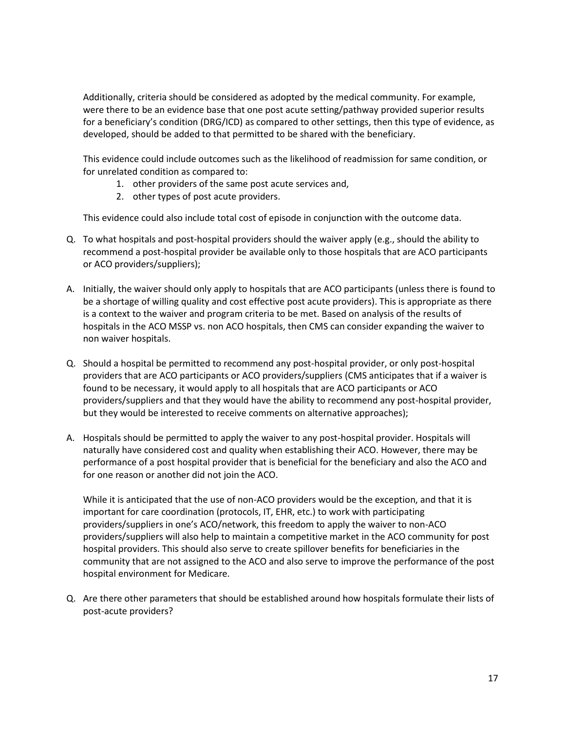Additionally, criteria should be considered as adopted by the medical community. For example, were there to be an evidence base that one post acute setting/pathway provided superior results for a beneficiary's condition (DRG/ICD) as compared to other settings, then this type of evidence, as developed, should be added to that permitted to be shared with the beneficiary.

This evidence could include outcomes such as the likelihood of readmission for same condition, or for unrelated condition as compared to:

- 1. other providers of the same post acute services and,
- 2. other types of post acute providers.

This evidence could also include total cost of episode in conjunction with the outcome data.

- Q. To what hospitals and post-hospital providers should the waiver apply (e.g., should the ability to recommend a post-hospital provider be available only to those hospitals that are ACO participants or ACO providers/suppliers);
- A. Initially, the waiver should only apply to hospitals that are ACO participants (unless there is found to be a shortage of willing quality and cost effective post acute providers). This is appropriate as there is a context to the waiver and program criteria to be met. Based on analysis of the results of hospitals in the ACO MSSP vs. non ACO hospitals, then CMS can consider expanding the waiver to non waiver hospitals.
- Q. Should a hospital be permitted to recommend any post-hospital provider, or only post-hospital providers that are ACO participants or ACO providers/suppliers (CMS anticipates that if a waiver is found to be necessary, it would apply to all hospitals that are ACO participants or ACO providers/suppliers and that they would have the ability to recommend any post-hospital provider, but they would be interested to receive comments on alternative approaches);
- A. Hospitals should be permitted to apply the waiver to any post-hospital provider. Hospitals will naturally have considered cost and quality when establishing their ACO. However, there may be performance of a post hospital provider that is beneficial for the beneficiary and also the ACO and for one reason or another did not join the ACO.

While it is anticipated that the use of non-ACO providers would be the exception, and that it is important for care coordination (protocols, IT, EHR, etc.) to work with participating providers/suppliers in one's ACO/network, this freedom to apply the waiver to non-ACO providers/suppliers will also help to maintain a competitive market in the ACO community for post hospital providers. This should also serve to create spillover benefits for beneficiaries in the community that are not assigned to the ACO and also serve to improve the performance of the post hospital environment for Medicare.

Q. Are there other parameters that should be established around how hospitals formulate their lists of post-acute providers?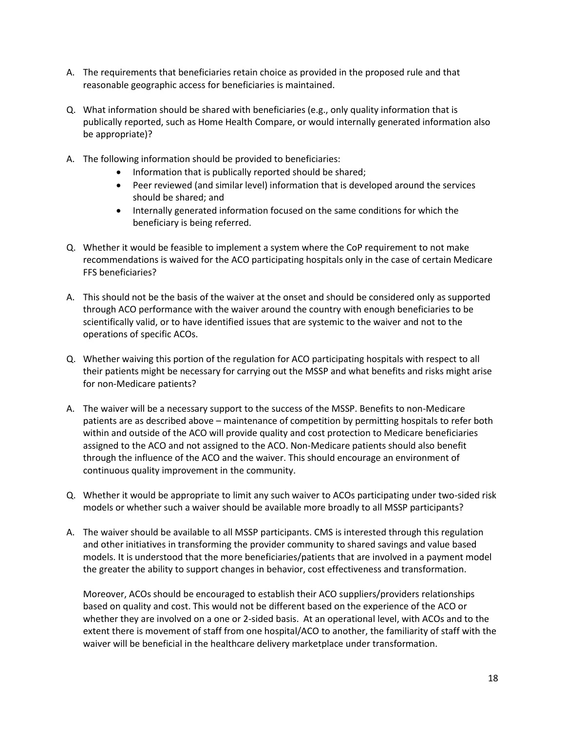- A. The requirements that beneficiaries retain choice as provided in the proposed rule and that reasonable geographic access for beneficiaries is maintained.
- Q. What information should be shared with beneficiaries (e.g., only quality information that is publically reported, such as Home Health Compare, or would internally generated information also be appropriate)?
- A. The following information should be provided to beneficiaries:
	- Information that is publically reported should be shared;
	- Peer reviewed (and similar level) information that is developed around the services should be shared; and
	- Internally generated information focused on the same conditions for which the beneficiary is being referred.
- Q. Whether it would be feasible to implement a system where the CoP requirement to not make recommendations is waived for the ACO participating hospitals only in the case of certain Medicare FFS beneficiaries?
- A. This should not be the basis of the waiver at the onset and should be considered only as supported through ACO performance with the waiver around the country with enough beneficiaries to be scientifically valid, or to have identified issues that are systemic to the waiver and not to the operations of specific ACOs.
- Q. Whether waiving this portion of the regulation for ACO participating hospitals with respect to all their patients might be necessary for carrying out the MSSP and what benefits and risks might arise for non-Medicare patients?
- A. The waiver will be a necessary support to the success of the MSSP. Benefits to non-Medicare patients are as described above – maintenance of competition by permitting hospitals to refer both within and outside of the ACO will provide quality and cost protection to Medicare beneficiaries assigned to the ACO and not assigned to the ACO. Non-Medicare patients should also benefit through the influence of the ACO and the waiver. This should encourage an environment of continuous quality improvement in the community.
- Q. Whether it would be appropriate to limit any such waiver to ACOs participating under two-sided risk models or whether such a waiver should be available more broadly to all MSSP participants?
- A. The waiver should be available to all MSSP participants. CMS is interested through this regulation and other initiatives in transforming the provider community to shared savings and value based models. It is understood that the more beneficiaries/patients that are involved in a payment model the greater the ability to support changes in behavior, cost effectiveness and transformation.

Moreover, ACOs should be encouraged to establish their ACO suppliers/providers relationships based on quality and cost. This would not be different based on the experience of the ACO or whether they are involved on a one or 2-sided basis. At an operational level, with ACOs and to the extent there is movement of staff from one hospital/ACO to another, the familiarity of staff with the waiver will be beneficial in the healthcare delivery marketplace under transformation.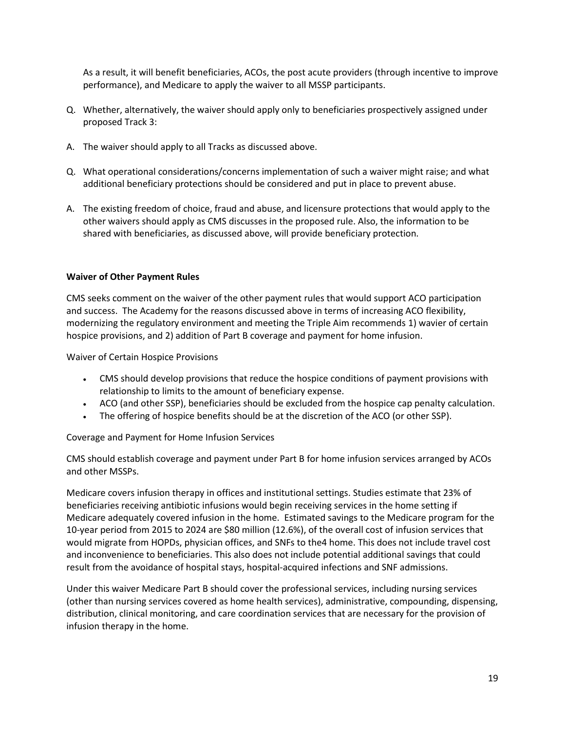As a result, it will benefit beneficiaries, ACOs, the post acute providers (through incentive to improve performance), and Medicare to apply the waiver to all MSSP participants.

- Q. Whether, alternatively, the waiver should apply only to beneficiaries prospectively assigned under proposed Track 3:
- A. The waiver should apply to all Tracks as discussed above.
- Q. What operational considerations/concerns implementation of such a waiver might raise; and what additional beneficiary protections should be considered and put in place to prevent abuse.
- A. The existing freedom of choice, fraud and abuse, and licensure protections that would apply to the other waivers should apply as CMS discusses in the proposed rule. Also, the information to be shared with beneficiaries, as discussed above, will provide beneficiary protection.

### **Waiver of Other Payment Rules**

CMS seeks comment on the waiver of the other payment rules that would support ACO participation and success. The Academy for the reasons discussed above in terms of increasing ACO flexibility, modernizing the regulatory environment and meeting the Triple Aim recommends 1) wavier of certain hospice provisions, and 2) addition of Part B coverage and payment for home infusion.

Waiver of Certain Hospice Provisions

- CMS should develop provisions that reduce the hospice conditions of payment provisions with relationship to limits to the amount of beneficiary expense.
- ACO (and other SSP), beneficiaries should be excluded from the hospice cap penalty calculation.
- The offering of hospice benefits should be at the discretion of the ACO (or other SSP).

Coverage and Payment for Home Infusion Services

CMS should establish coverage and payment under Part B for home infusion services arranged by ACOs and other MSSPs.

Medicare covers infusion therapy in offices and institutional settings. Studies estimate that 23% of beneficiaries receiving antibiotic infusions would begin receiving services in the home setting if Medicare adequately covered infusion in the home. Estimated savings to the Medicare program for the 10-year period from 2015 to 2024 are \$80 million (12.6%), of the overall cost of infusion services that would migrate from HOPDs, physician offices, and SNFs to the4 home. This does not include travel cost and inconvenience to beneficiaries. This also does not include potential additional savings that could result from the avoidance of hospital stays, hospital-acquired infections and SNF admissions.

Under this waiver Medicare Part B should cover the professional services, including nursing services (other than nursing services covered as home health services), administrative, compounding, dispensing, distribution, clinical monitoring, and care coordination services that are necessary for the provision of infusion therapy in the home.